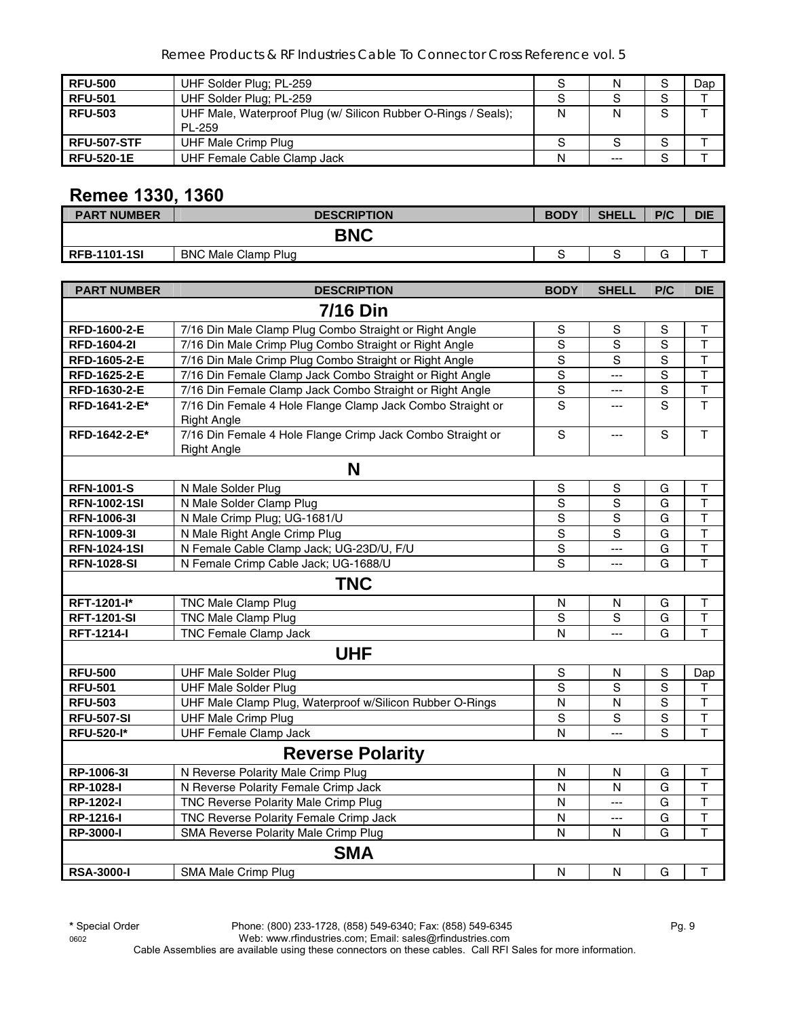Remee Products & RF Industries Cable To Connector Cross Reference vol. 5

| <b>RFU-500</b>     | UHF Solder Plug; PL-259                                                  | S | Ν      | $\sim$<br>১        | Dap |
|--------------------|--------------------------------------------------------------------------|---|--------|--------------------|-----|
| <b>RFU-501</b>     | UHF Solder Plug: PL-259                                                  | S |        | S                  |     |
| <b>RFU-503</b>     | UHF Male, Waterproof Plug (w/ Silicon Rubber O-Rings / Seals);<br>PL-259 | N | N      | S                  |     |
| <b>RFU-507-STF</b> | UHF Male Crimp Plug                                                      | S | c<br>c | $\mathbf{\hat{c}}$ |     |
| <b>RFU-520-1E</b>  | UHF Female Cable Clamp Jack                                              | N | $---$  | c<br>১             |     |

# **Remee 1330, 1360**

| <b>PART NUMBER</b>  | <b>DESCRIPTION</b>         | <b>BODY</b> | <b>SHELL</b> | P/C    | <b>DIE</b> |
|---------------------|----------------------------|-------------|--------------|--------|------------|
| <b>BNC</b>          |                            |             |              |        |            |
| <b>RFB-1101-1SI</b> | <b>BNC Male Clamp Plug</b> |             |              | ⌒<br>ت |            |

| <b>PART NUMBER</b>  | <b>DESCRIPTION</b>                                         | <b>BODY</b>    | <b>SHELL</b>   | P/C            | <b>DIE</b>              |
|---------------------|------------------------------------------------------------|----------------|----------------|----------------|-------------------------|
|                     | <b>7/16 Din</b>                                            |                |                |                |                         |
| RFD-1600-2-E        | 7/16 Din Male Clamp Plug Combo Straight or Right Angle     | S              | S              | S              | Τ                       |
| <b>RFD-1604-2I</b>  | 7/16 Din Male Crimp Plug Combo Straight or Right Angle     | S              | $\overline{s}$ | $\overline{s}$ | $\mathsf T$             |
| RFD-1605-2-E        | 7/16 Din Male Crimp Plug Combo Straight or Right Angle     | S              | $\overline{s}$ | $\overline{s}$ | $\overline{\mathsf{T}}$ |
| RFD-1625-2-E        | 7/16 Din Female Clamp Jack Combo Straight or Right Angle   | ${\sf S}$      | $\overline{a}$ | $\mathsf S$    | $\mathsf T$             |
| RFD-1630-2-E        | 7/16 Din Female Clamp Jack Combo Straight or Right Angle   | $\mathbb S$    | $---$          | $\mathbf S$    | $\overline{\mathsf{T}}$ |
| RFD-1641-2-E*       | 7/16 Din Female 4 Hole Flange Clamp Jack Combo Straight or | S              | ---            | S              | T                       |
|                     | <b>Right Angle</b>                                         |                |                |                |                         |
| RFD-1642-2-E*       | 7/16 Din Female 4 Hole Flange Crimp Jack Combo Straight or | $\mathbf S$    | ---            | S              | $\mathsf{T}$            |
|                     | <b>Right Angle</b>                                         |                |                |                |                         |
|                     | N                                                          |                |                |                |                         |
| <b>RFN-1001-S</b>   | N Male Solder Plug                                         | S              | S              | G              | Τ                       |
| <b>RFN-1002-1SI</b> | N Male Solder Clamp Plug                                   | $\mathsf S$    | $\mathbf S$    | G              | $\overline{\mathsf{T}}$ |
| RFN-1006-3I         | N Male Crimp Plug; UG-1681/U                               | $\mathbb S$    | $\mathbb S$    | G              | $\sf T$                 |
| <b>RFN-1009-31</b>  | N Male Right Angle Crimp Plug                              | $\mathsf S$    | S              | G              | $\overline{\mathsf{T}}$ |
| <b>RFN-1024-1SI</b> | N Female Cable Clamp Jack; UG-23D/U, F/U                   | $\mathsf S$    | ---            | G              | T                       |
| <b>RFN-1028-SI</b>  | N Female Crimp Cable Jack; UG-1688/U                       | S              | $\overline{a}$ | G              | $\overline{\mathsf{T}}$ |
|                     | <b>TNC</b>                                                 |                |                |                |                         |
| RFT-1201-l*         | <b>TNC Male Clamp Plug</b>                                 | N              | N              | G              | Τ                       |
| <b>RFT-1201-SI</b>  | <b>TNC Male Clamp Plug</b>                                 | $\overline{s}$ | S              | G              | $\overline{\mathsf{T}}$ |
| <b>RFT-1214-I</b>   | TNC Female Clamp Jack                                      | $\mathsf{N}$   | $\overline{a}$ | G              | T                       |
|                     | <b>UHF</b>                                                 |                |                |                |                         |
| <b>RFU-500</b>      | <b>UHF Male Solder Plug</b>                                | ${\mathbb S}$  | N              | ${\mathsf S}$  | Dap                     |
| <b>RFU-501</b>      | <b>UHF Male Solder Plug</b>                                | S              | S              | $\mathbf S$    | T                       |
| <b>RFU-503</b>      | UHF Male Clamp Plug, Waterproof w/Silicon Rubber O-Rings   | $\mathsf{N}$   | $\mathsf{N}$   | $\overline{s}$ | $\overline{\mathsf{T}}$ |
| <b>RFU-507-SI</b>   | <b>UHF Male Crimp Plug</b>                                 | S              | $\mathbf S$    | $\overline{s}$ | T                       |
| <b>RFU-520-I*</b>   | <b>UHF Female Clamp Jack</b>                               | $\overline{N}$ |                | $\overline{s}$ | $\overline{\mathsf{T}}$ |
|                     | <b>Reverse Polarity</b>                                    |                |                |                |                         |
| RP-1006-3I          | N Reverse Polarity Male Crimp Plug                         | $\mathsf{N}$   | N              | G              | Τ                       |
| RP-1028-I           | N Reverse Polarity Female Crimp Jack                       | N              | N              | G              | $\overline{\mathsf{T}}$ |
| RP-1202-I           | TNC Reverse Polarity Male Crimp Plug                       | $\mathsf{N}$   | $---$          | G              | T                       |
| RP-1216-I           | TNC Reverse Polarity Female Crimp Jack                     | $\mathsf{N}$   | $\overline{a}$ | G              | T                       |
| <b>RP-3000-I</b>    | SMA Reverse Polarity Male Crimp Plug                       | $\mathsf{N}$   | N              | G              | $\overline{\mathsf{T}}$ |
|                     | <b>SMA</b>                                                 |                |                |                |                         |
| <b>RSA-3000-I</b>   | SMA Male Crimp Plug                                        | $\mathsf{N}$   | $\mathsf{N}$   | G              | Τ                       |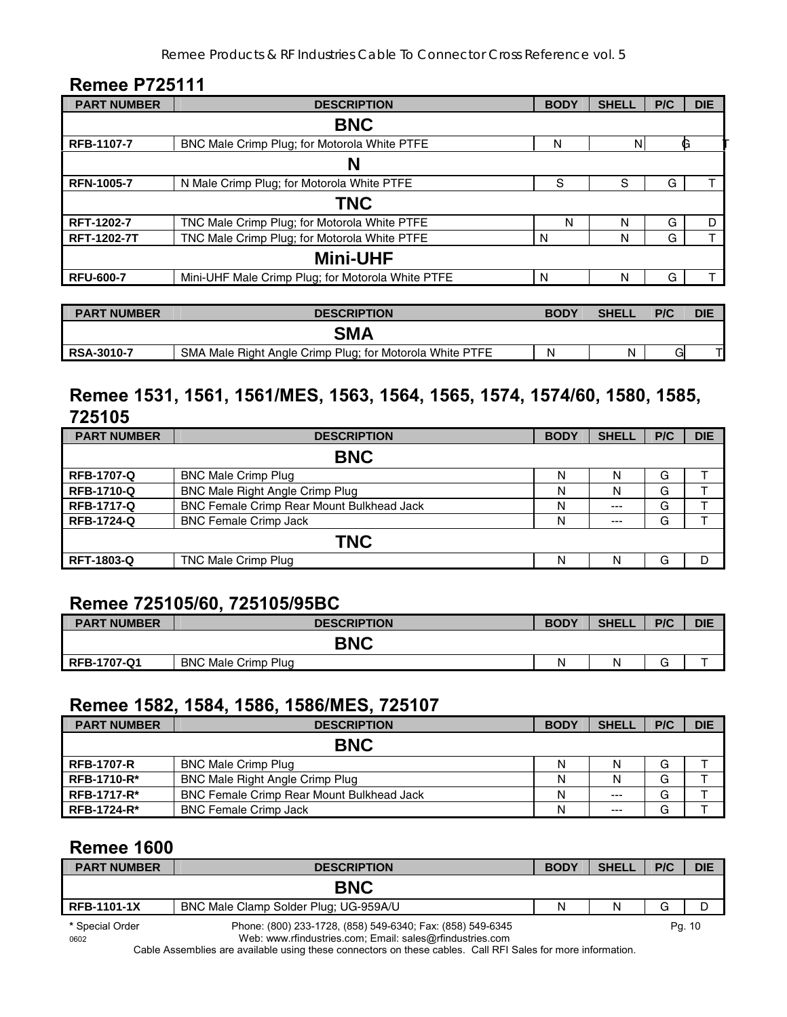#### Remee Products & RF Industries Cable To Connector Cross Reference vol. 5

#### **Remee P725111**

| <b>PART NUMBER</b> | <b>DESCRIPTION</b>                                | <b>BODY</b> | <b>SHELI</b> | P/C | <b>DIE</b>     |  |
|--------------------|---------------------------------------------------|-------------|--------------|-----|----------------|--|
| <b>BNC</b>         |                                                   |             |              |     |                |  |
| RFB-1107-7         | BNC Male Crimp Plug; for Motorola White PTFE      | N           | N            |     | G              |  |
| N                  |                                                   |             |              |     |                |  |
| <b>RFN-1005-7</b>  | N Male Crimp Plug; for Motorola White PTFE        | S           | S            | G   |                |  |
|                    | <b>TNC</b>                                        |             |              |     |                |  |
| RFT-1202-7         | TNC Male Crimp Plug; for Motorola White PTFE      | N           | N            | G   | D              |  |
| <b>RFT-1202-7T</b> | TNC Male Crimp Plug; for Motorola White PTFE      | N           | N            | G   | $\mathbf \tau$ |  |
| <b>Mini-UHF</b>    |                                                   |             |              |     |                |  |
| <b>RFU-600-7</b>   | Mini-UHF Male Crimp Plug; for Motorola White PTFE | N           | N            | G   |                |  |

| <b>PART NUMBER</b> | <b>DESCRIPTION</b>                                       | <b>BODY</b> | <b>SHELL</b> | P/C | DIE |
|--------------------|----------------------------------------------------------|-------------|--------------|-----|-----|
|                    | <b>SMA</b>                                               |             |              |     |     |
| RSA-3010-7         | SMA Male Right Angle Crimp Plug; for Motorola White PTFE | N           | N            | G   |     |

### **Remee 1531, 1561, 1561/MES, 1563, 1564, 1565, 1574, 1574/60, 1580, 1585, 725105**

| <b>PART NUMBER</b> | <b>DESCRIPTION</b>                               | <b>BODY</b> | <b>SHELL</b> | P/C | <b>DIE</b> |  |
|--------------------|--------------------------------------------------|-------------|--------------|-----|------------|--|
| <b>BNC</b>         |                                                  |             |              |     |            |  |
| <b>RFB-1707-Q</b>  | <b>BNC Male Crimp Plug</b>                       | N           | N            | G   |            |  |
| <b>RFB-1710-Q</b>  | <b>BNC Male Right Angle Crimp Plug</b>           | N           | N            | G   |            |  |
| <b>RFB-1717-Q</b>  | <b>BNC Female Crimp Rear Mount Bulkhead Jack</b> | Ν           | $---$        | G   |            |  |
| <b>RFB-1724-Q</b>  | <b>BNC Female Crimp Jack</b>                     | N           | $--$         | G   |            |  |
| <b>TNC</b>         |                                                  |             |              |     |            |  |
| <b>RFT-1803-Q</b>  | <b>TNC Male Crimp Plug</b>                       | N           | N            | G   | D          |  |

# **Remee 725105/60, 725105/95BC**

| <b>PART NUMBER</b> | <b>DESCRIPTION</b>         | <b>BODY</b> | <b>SHELL</b> | P/C | <b>DIE</b> |
|--------------------|----------------------------|-------------|--------------|-----|------------|
| <b>BNC</b>         |                            |             |              |     |            |
| <b>RFB-1707-Q1</b> | <b>BNC Male Crimp Plug</b> | Ν           | N            |     |            |

#### **Remee 1582, 1584, 1586, 1586/MES, 725107**

| <b>PART NUMBER</b> | <b>DESCRIPTION</b>                               | <b>BODY</b> | <b>SHELL</b> | P/C | <b>DIE</b> |  |
|--------------------|--------------------------------------------------|-------------|--------------|-----|------------|--|
| <b>BNC</b>         |                                                  |             |              |     |            |  |
| <b>RFB-1707-R</b>  | <b>BNC Male Crimp Plug</b>                       | N           |              | G   |            |  |
| <b>RFB-1710-R*</b> | BNC Male Right Angle Crimp Plug                  | N           |              | G   |            |  |
| <b>RFB-1717-R*</b> | <b>BNC Female Crimp Rear Mount Bulkhead Jack</b> | N           | $---$        | G   |            |  |
| RFB-1724-R*        | <b>BNC Female Crimp Jack</b>                     | N           | $---$        | G   |            |  |

# **Remee 1600**

| <b>PART NUMBER</b>      | <b>DESCRIPTION</b>                                                                                                     | <b>BODY</b> | <b>SHELL</b> | P/C | <b>DIE</b> |
|-------------------------|------------------------------------------------------------------------------------------------------------------------|-------------|--------------|-----|------------|
|                         | <b>BNC</b>                                                                                                             |             |              |     |            |
| <b>RFB-1101-1X</b>      | BNC Male Clamp Solder Plug; UG-959A/U                                                                                  | N           | N            | G   |            |
| * Special Order<br>0602 | Phone: (800) 233-1728, (858) 549-6340; Fax: (858) 549-6345<br>Web: www.rfindustries.com; Email: sales@rfindustries.com |             |              |     | Pq. 10     |

Cable Assemblies are available using these connectors on these cables. Call RFI Sales for more information.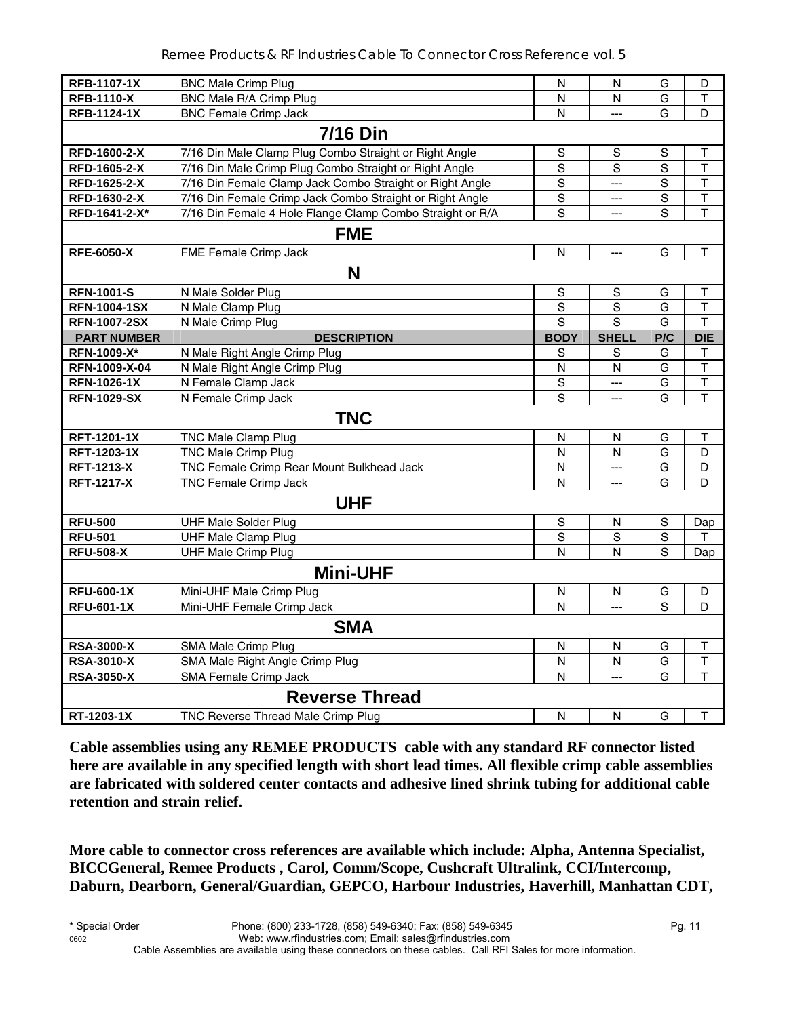| <b>RFB-1107-1X</b>  | <b>BNC Male Crimp Plug</b>                                | N              | N              | G              | D                       |  |  |
|---------------------|-----------------------------------------------------------|----------------|----------------|----------------|-------------------------|--|--|
| <b>RFB-1110-X</b>   | BNC Male R/A Crimp Plug                                   | N              | N              | G              | $\mathsf T$             |  |  |
| <b>RFB-1124-1X</b>  | <b>BNC Female Crimp Jack</b>                              | N              | $\sim$         | G              | D                       |  |  |
|                     | <b>7/16 Din</b>                                           |                |                |                |                         |  |  |
| RFD-1600-2-X        | 7/16 Din Male Clamp Plug Combo Straight or Right Angle    | S              | S              | S              | Τ                       |  |  |
| RFD-1605-2-X        | 7/16 Din Male Crimp Plug Combo Straight or Right Angle    | $\mathsf S$    | $\mathbf S$    | $\overline{S}$ | $\mathsf T$             |  |  |
| RFD-1625-2-X        | 7/16 Din Female Clamp Jack Combo Straight or Right Angle  | $\mathbf S$    | $\overline{a}$ | S              | T                       |  |  |
| RFD-1630-2-X        | 7/16 Din Female Crimp Jack Combo Straight or Right Angle  | $\mathsf S$    | $\overline{a}$ | ${\mathsf S}$  | $\overline{\mathsf{T}}$ |  |  |
| RFD-1641-2-X*       | 7/16 Din Female 4 Hole Flange Clamp Combo Straight or R/A | S              | $\overline{a}$ | S              | $\mathsf T$             |  |  |
| <b>FME</b>          |                                                           |                |                |                |                         |  |  |
| <b>RFE-6050-X</b>   | FME Female Crimp Jack                                     | $\mathsf{N}$   | $\overline{a}$ | G              | T                       |  |  |
|                     | N                                                         |                |                |                |                         |  |  |
| <b>RFN-1001-S</b>   | N Male Solder Plug                                        | S              | S              | G              | Т                       |  |  |
| <b>RFN-1004-1SX</b> | N Male Clamp Plug                                         | $\mathsf S$    | $\mathbf S$    | G              | $\mathsf T$             |  |  |
| <b>RFN-1007-2SX</b> | N Male Crimp Plug                                         | $\overline{s}$ | $\overline{s}$ | G              | T                       |  |  |
| <b>PART NUMBER</b>  | <b>DESCRIPTION</b>                                        | <b>BODY</b>    | <b>SHELL</b>   | P/C            | <b>DIE</b>              |  |  |
| RFN-1009-X*         | N Male Right Angle Crimp Plug                             | S              | S              | G              | $\top$                  |  |  |
| RFN-1009-X-04       | N Male Right Angle Crimp Plug                             | N              | N              | G              | T                       |  |  |
| <b>RFN-1026-1X</b>  | N Female Clamp Jack                                       | $\mathbf S$    | ---            | G              | $\overline{\mathsf{T}}$ |  |  |
| <b>RFN-1029-SX</b>  | N Female Crimp Jack                                       | $\overline{s}$ | $\overline{a}$ | G              | $\overline{\mathsf{T}}$ |  |  |
|                     | <b>TNC</b>                                                |                |                |                |                         |  |  |
| RFT-1201-1X         | <b>TNC Male Clamp Plug</b>                                | N              | N              | G              | Τ                       |  |  |
| RFT-1203-1X         | TNC Male Crimp Plug                                       | $\overline{N}$ | N              | $\overline{G}$ | D                       |  |  |
| <b>RFT-1213-X</b>   | TNC Female Crimp Rear Mount Bulkhead Jack                 | N              | $\overline{a}$ | G              | D                       |  |  |
| <b>RFT-1217-X</b>   | TNC Female Crimp Jack                                     | N              | $---$          | G              | D                       |  |  |
|                     | <b>UHF</b>                                                |                |                |                |                         |  |  |
| <b>RFU-500</b>      | <b>UHF Male Solder Plug</b>                               | $\mathsf S$    | N              | S              | Dap                     |  |  |
| <b>RFU-501</b>      | <b>UHF Male Clamp Plug</b>                                | $\overline{s}$ | $\overline{s}$ | $\overline{s}$ | T                       |  |  |
| <b>RFU-508-X</b>    | <b>UHF Male Crimp Plug</b>                                | N              | N              | S              | Dap                     |  |  |
|                     | <b>Mini-UHF</b>                                           |                |                |                |                         |  |  |
| <b>RFU-600-1X</b>   | Mini-UHF Male Crimp Plug                                  | ${\sf N}$      | N              | G              | D                       |  |  |
| <b>RFU-601-1X</b>   | Mini-UHF Female Crimp Jack                                | N              | $\overline{a}$ | S              | D                       |  |  |
|                     | <b>SMA</b>                                                |                |                |                |                         |  |  |
| <b>RSA-3000-X</b>   | SMA Male Crimp Plug                                       | $\mathsf{N}$   | N              | G              | T                       |  |  |
| <b>RSA-3010-X</b>   | SMA Male Right Angle Crimp Plug                           | $\overline{N}$ | N              | G              | $\overline{\mathsf{T}}$ |  |  |
| <b>RSA-3050-X</b>   | SMA Female Crimp Jack                                     | $\overline{N}$ | $\overline{a}$ | G              | $\mathsf T$             |  |  |
|                     | <b>Reverse Thread</b>                                     |                |                |                |                         |  |  |
| RT-1203-1X          | <b>TNC Reverse Thread Male Crimp Plug</b>                 | N              | N              | G              | $\mathsf{T}$            |  |  |

**Cable assemblies using any REMEE PRODUCTS cable with any standard RF connector listed here are available in any specified length with short lead times. All flexible crimp cable assemblies are fabricated with soldered center contacts and adhesive lined shrink tubing for additional cable retention and strain relief.** 

**More cable to connector cross references are available which include: Alpha, Antenna Specialist, BICCGeneral, Remee Products , Carol, Comm/Scope, Cushcraft Ultralink, CCI/Intercomp, Daburn, Dearborn, General/Guardian, GEPCO, Harbour Industries, Haverhill, Manhattan CDT,**